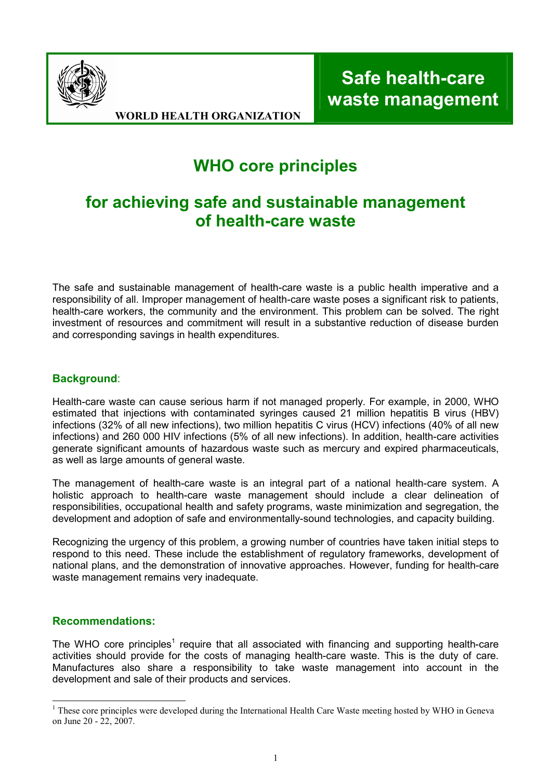

Safe health-care waste management

WORLD HEALTH ORGANIZATION

# WHO core principles

## for achieving safe and sustainable management of health-care waste

The safe and sustainable management of health-care waste is a public health imperative and a responsibility of all. Improper management of health-care waste poses a significant risk to patients, health-care workers, the community and the environment. This problem can be solved. The right investment of resources and commitment will result in a substantive reduction of disease burden and corresponding savings in health expenditures.

## Background:

Health-care waste can cause serious harm if not managed properly. For example, in 2000, WHO estimated that injections with contaminated syringes caused 21 million hepatitis B virus (HBV) infections (32% of all new infections), two million hepatitis C virus (HCV) infections (40% of all new infections) and 260 000 HIV infections (5% of all new infections). In addition, health-care activities generate significant amounts of hazardous waste such as mercury and expired pharmaceuticals, as well as large amounts of general waste.

The management of health-care waste is an integral part of a national health-care system. A holistic approach to health-care waste management should include a clear delineation of responsibilities, occupational health and safety programs, waste minimization and segregation, the development and adoption of safe and environmentally-sound technologies, and capacity building.

Recognizing the urgency of this problem, a growing number of countries have taken initial steps to respond to this need. These include the establishment of regulatory frameworks, development of national plans, and the demonstration of innovative approaches. However, funding for health-care waste management remains very inadequate.

### Recommendations:

The WHO core principles<sup>1</sup> require that all associated with financing and supporting health-care activities should provide for the costs of managing health-care waste. This is the duty of care. Manufactures also share a responsibility to take waste management into account in the development and sale of their products and services.

<sup>&</sup>lt;sup>1</sup> These core principles were developed during the International Health Care Waste meeting hosted by WHO in Geneva on June 20 - 22, 2007.